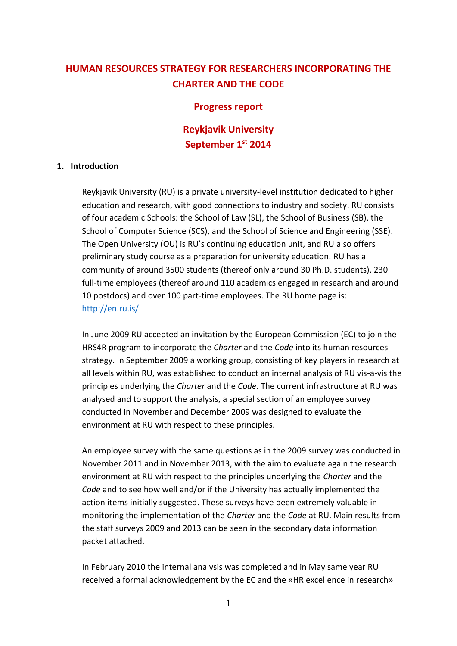# **HUMAN RESOURCES STRATEGY FOR RESEARCHERS INCORPORATING THE CHARTER AND THE CODE**

### **Progress report**

## **Reykjavik University September 1st 2014**

#### **1. Introduction**

Reykjavik University (RU) is a private university-level institution dedicated to higher education and research, with good connections to industry and society. RU consists of four academic Schools: the School of Law (SL), the School of Business (SB), the School of Computer Science (SCS), and the School of Science and Engineering (SSE). The Open University (OU) is RU's continuing education unit, and RU also offers preliminary study course as a preparation for university education. RU has a community of around 3500 students (thereof only around 30 Ph.D. students), 230 full-time employees (thereof around 110 academics engaged in research and around 10 postdocs) and over 100 part-time employees. The RU home page is: [http://en.ru.is/.](http://en.ru.is/)

In June 2009 RU accepted an invitation by the European Commission (EC) to join the HRS4R program to incorporate the *Charter* and the *Code* into its human resources strategy. In September 2009 a working group, consisting of key players in research at all levels within RU, was established to conduct an internal analysis of RU vis-a-vis the principles underlying the *Charter* and the *Code*. The current infrastructure at RU was analysed and to support the analysis, a special section of an employee survey conducted in November and December 2009 was designed to evaluate the environment at RU with respect to these principles.

An employee survey with the same questions as in the 2009 survey was conducted in November 2011 and in November 2013, with the aim to evaluate again the research environment at RU with respect to the principles underlying the *Charter* and the *Code* and to see how well and/or if the University has actually implemented the action items initially suggested. These surveys have been extremely valuable in monitoring the implementation of the *Charter* and the *Code* at RU. Main results from the staff surveys 2009 and 2013 can be seen in the secondary data information packet attached.

In February 2010 the internal analysis was completed and in May same year RU received a formal acknowledgement by the EC and the «HR excellence in research»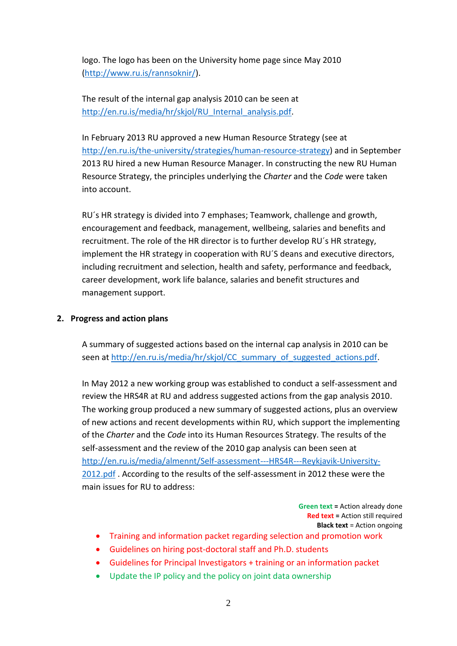logo. The logo has been on the University home page since May 2010 [\(http://www.ru.is/rannsoknir/\)](http://www.ru.is/rannsoknir/).

The result of the internal gap analysis 2010 can be seen at [http://en.ru.is/media/hr/skjol/RU\\_Internal\\_analysis.pdf.](http://en.ru.is/media/hr/skjol/RU_Internal_analysis.pdf)

In February 2013 RU approved a new Human Resource Strategy (see at [http://en.ru.is/the-university/strategies/human-resource-strategy\)](http://en.ru.is/the-university/strategies/human-resource-strategy) and in September 2013 RU hired a new Human Resource Manager. In constructing the new RU Human Resource Strategy, the principles underlying the *Charter* and the *Code* were taken into account.

RU´s HR strategy is divided into 7 emphases; Teamwork, challenge and growth, encouragement and feedback, management, wellbeing, salaries and benefits and recruitment. The role of the HR director is to further develop RU´s HR strategy, implement the HR strategy in cooperation with RU´S deans and executive directors, including recruitment and selection, health and safety, performance and feedback, career development, work life balance, salaries and benefit structures and management support.

### **2. Progress and action plans**

A summary of suggested actions based on the internal cap analysis in 2010 can be seen at [http://en.ru.is/media/hr/skjol/CC\\_summary\\_of\\_suggested\\_actions.pdf.](http://en.ru.is/media/hr/skjol/CC_summary_of_suggested_actions.pdf)

In May 2012 a new working group was established to conduct a self-assessment and review the HRS4R at RU and address suggested actions from the gap analysis 2010. The working group produced a new summary of suggested actions, plus an overview of new actions and recent developments within RU, which support the implementing of the *Charter* and the *Code* into its Human Resources Strategy. The results of the self-assessment and the review of the 2010 gap analysis can been seen at [http://en.ru.is/media/almennt/Self-assessment---HRS4R---Reykjavik-University-](http://en.ru.is/media/almennt/Self-assessment---HRS4R---Reykjavik-University-2012.pdf)[2012.pdf](http://en.ru.is/media/almennt/Self-assessment---HRS4R---Reykjavik-University-2012.pdf) . According to the results of the self-assessment in 2012 these were the main issues for RU to address:

> **Green text =** Action already done **Red text =** Action still required **Black text** = Action ongoing

- Training and information packet regarding selection and promotion work
- Guidelines on hiring post-doctoral staff and Ph.D. students
- Guidelines for Principal Investigators + training or an information packet
- Update the IP policy and the policy on joint data ownership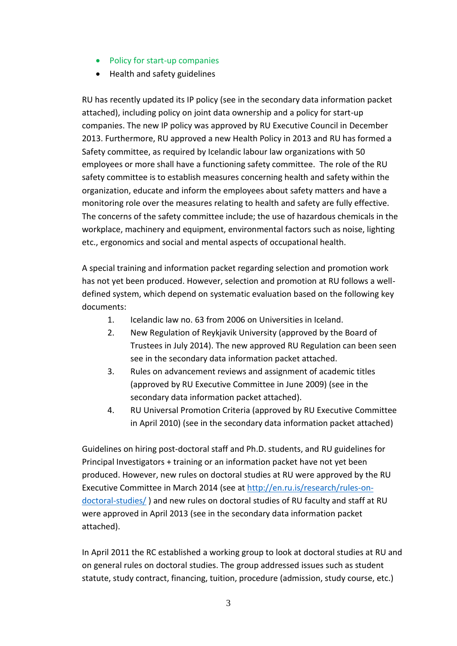- Policy for start-up companies
- Health and safety guidelines

RU has recently updated its IP policy (see in the secondary data information packet attached), including policy on joint data ownership and a policy for start-up companies. The new IP policy was approved by RU Executive Council in December 2013. Furthermore, RU approved a new Health Policy in 2013 and RU has formed a Safety committee, as required by Icelandic labour law organizations with 50 employees or more shall have a functioning safety committee. The role of the RU safety committee is to establish measures concerning health and safety within the organization, educate and inform the employees about safety matters and have a monitoring role over the measures relating to health and safety are fully effective. The concerns of the safety committee include; the use of hazardous chemicals in the workplace, machinery and equipment, environmental factors such as noise, lighting etc., ergonomics and social and mental aspects of occupational health.

A special training and information packet regarding selection and promotion work has not yet been produced. However, selection and promotion at RU follows a welldefined system, which depend on systematic evaluation based on the following key documents:

- 1. Icelandic law no. 63 from 2006 on Universities in Iceland.
- 2. New Regulation of Reykjavik University (approved by the Board of Trustees in July 2014). The new approved RU Regulation can been seen see in the secondary data information packet attached.
- 3. Rules on advancement reviews and assignment of academic titles (approved by RU Executive Committee in June 2009) (see in the secondary data information packet attached).
- 4. RU Universal Promotion Criteria (approved by RU Executive Committee in April 2010) (see in the secondary data information packet attached)

Guidelines on hiring post-doctoral staff and Ph.D. students, and RU guidelines for Principal Investigators + training or an information packet have not yet been produced. However, new rules on doctoral studies at RU were approved by the RU Executive Committee in March 2014 (see at [http://en.ru.is/research/rules-on](http://en.ru.is/research/rules-on-doctoral-studies/)[doctoral-studies/](http://en.ru.is/research/rules-on-doctoral-studies/) ) and new rules on doctoral studies of RU faculty and staff at RU were approved in April 2013 (see in the secondary data information packet attached).

In April 2011 the RC established a working group to look at doctoral studies at RU and on general rules on doctoral studies. The group addressed issues such as student statute, study contract, financing, tuition, procedure (admission, study course, etc.)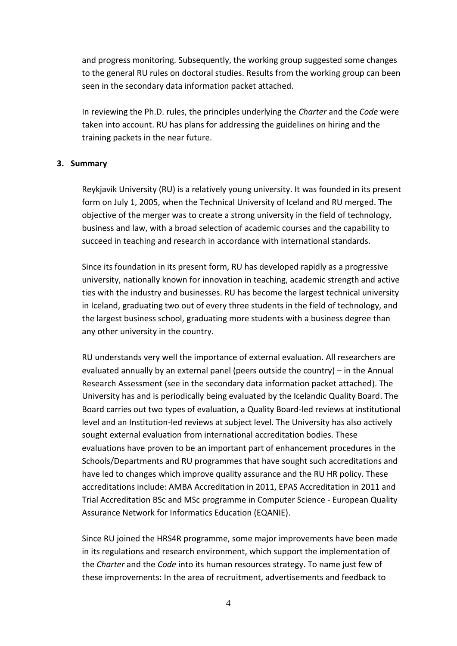and progress monitoring. Subsequently, the working group suggested some changes to the general RU rules on doctoral studies. Results from the working group can been seen in the secondary data information packet attached.

In reviewing the Ph.D. rules, the principles underlying the *Charter* and the *Code* were taken into account. RU has plans for addressing the guidelines on hiring and the training packets in the near future.

#### **3. Summary**

Reykjavik University (RU) is a relatively young university. It was founded in its present form on July 1, 2005, when the Technical University of Iceland and RU merged. The objective of the merger was to create a strong university in the field of technology, business and law, with a broad selection of academic courses and the capability to succeed in teaching and research in accordance with international standards.

Since its foundation in its present form, RU has developed rapidly as a progressive university, nationally known for innovation in teaching, academic strength and active ties with the industry and businesses. RU has become the largest technical university in Iceland, graduating two out of every three students in the field of technology, and the largest business school, graduating more students with a business degree than any other university in the country.

RU understands very well the importance of external evaluation. All researchers are evaluated annually by an external panel (peers outside the country) – in the Annual Research Assessment (see in the secondary data information packet attached). The University has and is periodically being evaluated by the Icelandic Quality Board. The Board carries out two types of evaluation, a Quality Board-led reviews at institutional level and an Institution-led reviews at subject level. The University has also actively sought external evaluation from international accreditation bodies. These evaluations have proven to be an important part of enhancement procedures in the Schools/Departments and RU programmes that have sought such accreditations and have led to changes which improve quality assurance and the RU HR policy. These accreditations include: AMBA Accreditation in 2011, EPAS Accreditation in 2011 and Trial Accreditation BSc and MSc programme in Computer Science - European Quality Assurance Network for Informatics Education (EQANIE).

Since RU joined the HRS4R programme, some major improvements have been made in its regulations and research environment, which support the implementation of the *Charter* and the *Code* into its human resources strategy. To name just few of these improvements: In the area of recruitment, advertisements and feedback to